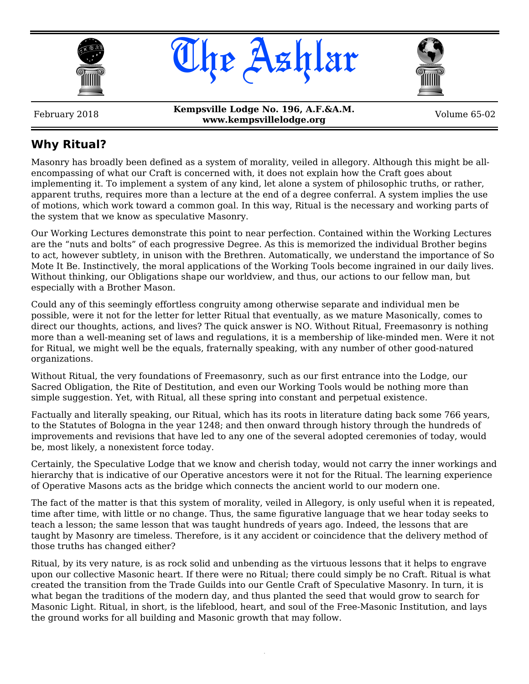





February 2018 **Kempsville Lodge No. 196, A.F.&A.M. www.kempsvillelodge.org** Volume 65-02

# **Why Ritual?**

Masonry has broadly been defined as a system of morality, veiled in allegory. Although this might be allencompassing of what our Craft is concerned with, it does not explain how the Craft goes about implementing it. To implement a system of any kind, let alone a system of philosophic truths, or rather, apparent truths, requires more than a lecture at the end of a degree conferral. A system implies the use of motions, which work toward a common goal. In this way, Ritual is the necessary and working parts of the system that we know as speculative Masonry.

Our Working Lectures demonstrate this point to near perfection. Contained within the Working Lectures are the "nuts and bolts" of each progressive Degree. As this is memorized the individual Brother begins to act, however subtlety, in unison with the Brethren. Automatically, we understand the importance of So Mote It Be. Instinctively, the moral applications of the Working Tools become ingrained in our daily lives. Without thinking, our Obligations shape our worldview, and thus, our actions to our fellow man, but especially with a Brother Mason.

Could any of this seemingly effortless congruity among otherwise separate and individual men be possible, were it not for the letter for letter Ritual that eventually, as we mature Masonically, comes to direct our thoughts, actions, and lives? The quick answer is NO. Without Ritual, Freemasonry is nothing more than a well-meaning set of laws and regulations, it is a membership of like-minded men. Were it not for Ritual, we might well be the equals, fraternally speaking, with any number of other good-natured organizations.

Without Ritual, the very foundations of Freemasonry, such as our first entrance into the Lodge, our Sacred Obligation, the Rite of Destitution, and even our Working Tools would be nothing more than simple suggestion. Yet, with Ritual, all these spring into constant and perpetual existence.

Factually and literally speaking, our Ritual, which has its roots in literature dating back some 766 years, to the Statutes of Bologna in the year 1248; and then onward through history through the hundreds of improvements and revisions that have led to any one of the several adopted ceremonies of today, would be, most likely, a nonexistent force today.

Certainly, the Speculative Lodge that we know and cherish today, would not carry the inner workings and hierarchy that is indicative of our Operative ancestors were it not for the Ritual. The learning experience of Operative Masons acts as the bridge which connects the ancient world to our modern one.

The fact of the matter is that this system of morality, veiled in Allegory, is only useful when it is repeated, time after time, with little or no change. Thus, the same figurative language that we hear today seeks to teach a lesson; the same lesson that was taught hundreds of years ago. Indeed, the lessons that are taught by Masonry are timeless. Therefore, is it any accident or coincidence that the delivery method of those truths has changed either?

Ritual, by its very nature, is as rock solid and unbending as the virtuous lessons that it helps to engrave upon our collective Masonic heart. If there were no Ritual; there could simply be no Craft. Ritual is what created the transition from the Trade Guilds into our Gentle Craft of Speculative Masonry. In turn, it is what began the traditions of the modern day, and thus planted the seed that would grow to search for Masonic Light. Ritual, in short, is the lifeblood, heart, and soul of the Free-Masonic Institution, and lays the ground works for all building and Masonic growth that may follow.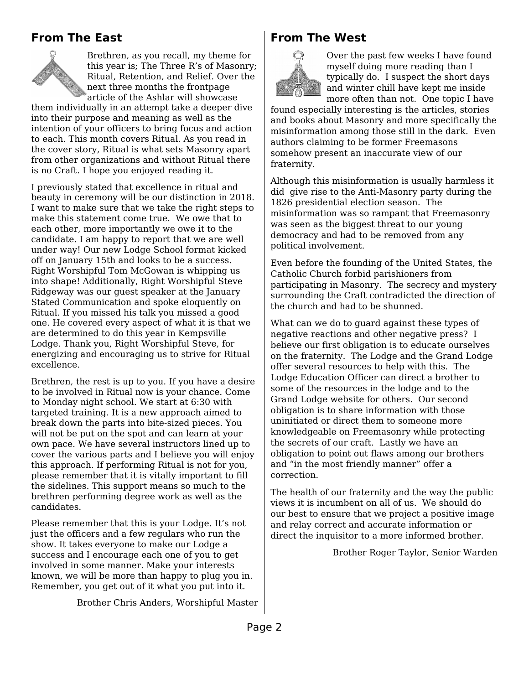# **From The East**



Brethren, as you recall, my theme for this year is; The Three R's of Masonry; Ritual, Retention, and Relief. Over the next three months the frontpage article of the Ashlar will showcase

them individually in an attempt take a deeper dive into their purpose and meaning as well as the intention of your officers to bring focus and action to each. This month covers Ritual. As you read in the cover story, Ritual is what sets Masonry apart from other organizations and without Ritual there is no Craft. I hope you enjoyed reading it.

I previously stated that excellence in ritual and beauty in ceremony will be our distinction in 2018. I want to make sure that we take the right steps to make this statement come true. We owe that to each other, more importantly we owe it to the candidate. I am happy to report that we are well under way! Our new Lodge School format kicked off on January 15th and looks to be a success. Right Worshipful Tom McGowan is whipping us into shape! Additionally, Right Worshipful Steve Ridgeway was our guest speaker at the January Stated Communication and spoke eloquently on Ritual. If you missed his talk you missed a good one. He covered every aspect of what it is that we are determined to do this year in Kempsville Lodge. Thank you, Right Worshipful Steve, for energizing and encouraging us to strive for Ritual excellence.

Brethren, the rest is up to you. If you have a desire to be involved in Ritual now is your chance. Come to Monday night school. We start at 6:30 with targeted training. It is a new approach aimed to break down the parts into bite-sized pieces. You will not be put on the spot and can learn at your own pace. We have several instructors lined up to cover the various parts and I believe you will enjoy this approach. If performing Ritual is not for you, please remember that it is vitally important to fill the sidelines. This support means so much to the brethren performing degree work as well as the candidates.

Please remember that this is your Lodge. It's not just the officers and a few regulars who run the show. It takes everyone to make our Lodge a success and I encourage each one of you to get involved in some manner. Make your interests known, we will be more than happy to plug you in. Remember, you get out of it what you put into it.

Brother Chris Anders, Worshipful Master

#### **From The West**



Over the past few weeks I have found myself doing more reading than I typically do. I suspect the short days and winter chill have kept me inside more often than not. One topic I have

found especially interesting is the articles, stories and books about Masonry and more specifically the misinformation among those still in the dark. Even authors claiming to be former Freemasons somehow present an inaccurate view of our fraternity.

Although this misinformation is usually harmless it did give rise to the Anti-Masonry party during the 1826 presidential election season. The misinformation was so rampant that Freemasonry was seen as the biggest threat to our young democracy and had to be removed from any political involvement.

Even before the founding of the United States, the Catholic Church forbid parishioners from participating in Masonry. The secrecy and mystery surrounding the Craft contradicted the direction of the church and had to be shunned.

What can we do to guard against these types of negative reactions and other negative press? I believe our first obligation is to educate ourselves on the fraternity. The Lodge and the Grand Lodge offer several resources to help with this. The Lodge Education Officer can direct a brother to some of the resources in the lodge and to the Grand Lodge website for others. Our second obligation is to share information with those uninitiated or direct them to someone more knowledgeable on Freemasonry while protecting the secrets of our craft. Lastly we have an obligation to point out flaws among our brothers and "in the most friendly manner" offer a correction.

The health of our fraternity and the way the public views it is incumbent on all of us. We should do our best to ensure that we project a positive image and relay correct and accurate information or direct the inquisitor to a more informed brother.

Brother Roger Taylor, Senior Warden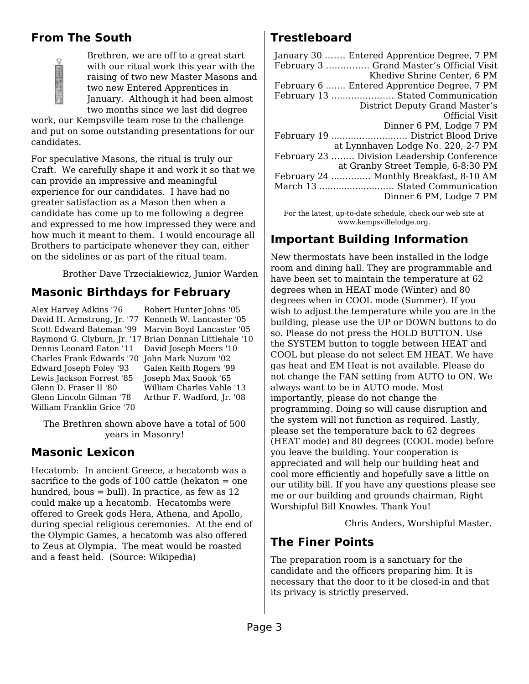# **From The South**



Brethren, we are off to a great start with our ritual work this year with the raising of two new Master Masons and two new Entered Apprentices in January. Although it had been almost two months since we last did degree

work, our Kempsville team rose to the challenge and put on some outstanding presentations for our candidates.

For speculative Masons, the ritual is truly our Craft. We carefully shape it and work it so that we can provide an impressive and meaningful experience for our candidates. I have had no greater satisfaction as a Mason then when a candidate has come up to me following a degree and expressed to me how impressed they were and how much it meant to them. I would encourage all Brothers to participate whenever they can, either on the sidelines or as part of the ritual team.

Brother Dave Trzeciakiewicz, Junior Warden

# **Masonic Birthdays for February**

Alex Harvey Adkins '76 David H. Armstrong, Jr. '77 Kenneth W. Lancaster '05 Scott Edward Bateman '99 Marvin Boyd Lancaster '05 Raymond G. Clyburn, Jr. '17 Brian Donnan Littlehale '10 Dennis Leonard Eaton '11 Charles Frank Edwards '70 John Mark Nuzum '02 Edward Joseph Foley '93 Lewis Jackson Forrest '85 Glenn D. Fraser II '80 Glenn Lincoln Gilman '78 William Franklin Grice '70

Robert Hunter Johns '05 David Joseph Meers '10 Galen Keith Rogers '99 Joseph Max Snook '65 William Charles Vahle '13 Arthur F. Wadford, Jr. '08

The Brethren shown above have a total of 500 years in Masonry!

### **Masonic Lexicon**

Hecatomb: In ancient Greece, a hecatomb was a sacrifice to the gods of  $100$  cattle (hekaton  $=$  one hundred, bous  $=$  bull). In practice, as few as 12 could make up a hecatomb. Hecatombs were offered to Greek gods Hera, Athena, and Apollo, during special religious ceremonies. At the end of the Olympic Games, a hecatomb was also offered to Zeus at Olympia. The meat would be roasted and a feast held. (Source: Wikipedia)

# **Trestleboard**

| January 30  Entered Apprentice Degree, 7 PM |
|---------------------------------------------|
| February 3  Grand Master's Official Visit   |
| Khedive Shrine Center, 6 PM                 |
| February 6  Entered Apprentice Degree, 7 PM |
| February 13  Stated Communication           |
| District Deputy Grand Master's              |
| <b>Official Visit</b>                       |
| Dinner 6 PM, Lodge 7 PM                     |
|                                             |
| at Lynnhaven Lodge No. 220, 2-7 PM          |
| February 23  Division Leadership Conference |
| at Granby Street Temple, 6-8:30 PM          |
| February 24  Monthly Breakfast, 8-10 AM     |
| March 13  Stated Communication              |
| Dinner 6 PM, Lodge 7 PM                     |
|                                             |

For the latest, up-to-date schedule, check our web site at www.kempsvillelodge.org.

# **Important Building Information**

New thermostats have been installed in the lodge room and dining hall. They are programmable and have been set to maintain the temperature at 62 degrees when in HEAT mode (Winter) and 80 degrees when in COOL mode (Summer). If you wish to adjust the temperature while you are in the building, please use the UP or DOWN buttons to do so. Please do not press the HOLD BUTTON. Use the SYSTEM button to toggle between HEAT and COOL but please do not select EM HEAT. We have gas heat and EM Heat is not available. Please do not change the FAN setting from AUTO to ON. We always want to be in AUTO mode. Most importantly, please do not change the programming. Doing so will cause disruption and the system will not function as required. Lastly, please set the temperature back to 62 degrees (HEAT mode) and 80 degrees (COOL mode) before you leave the building. Your cooperation is appreciated and will help our building heat and cool more efficiently and hopefully save a little on our utility bill. If you have any questions please see me or our building and grounds chairman, Right Worshipful Bill Knowles. Thank You!

Chris Anders, Worshipful Master.

### **The Finer Points**

The preparation room is a sanctuary for the candidate and the officers preparing him. It is necessary that the door to it be closed-in and that its privacy is strictly preserved.